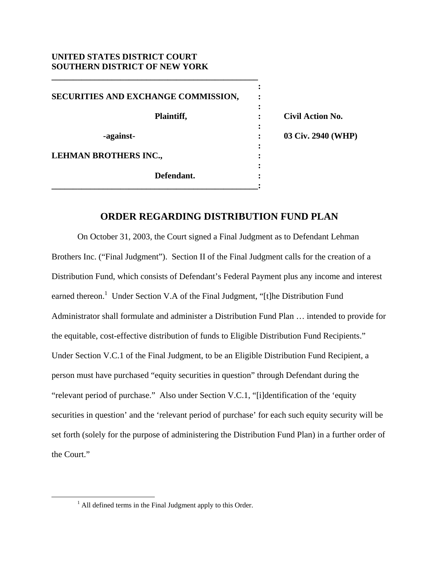## **UNITED STATES DISTRICT COURT SOUTHERN DISTRICT OF NEW YORK**

**\_\_\_\_\_\_\_\_\_\_\_\_\_\_\_\_\_\_\_\_\_\_\_\_\_\_\_\_\_\_\_\_\_\_\_\_\_\_\_\_\_\_\_\_\_\_\_\_** 

*x*  $\mathbf{r}$   $\mathbf{r}$   $\mathbf{r}$   $\mathbf{r}$   $\mathbf{r}$   $\mathbf{r}$   $\mathbf{r}$   $\mathbf{r}$   $\mathbf{r}$   $\mathbf{r}$   $\mathbf{r}$   $\mathbf{r}$   $\mathbf{r}$   $\mathbf{r}$   $\mathbf{r}$   $\mathbf{r}$   $\mathbf{r}$   $\mathbf{r}$   $\mathbf{r}$   $\mathbf{r}$   $\mathbf{r}$   $\mathbf{r}$   $\mathbf{r}$   $\mathbf{r}$  **SECURITIES AND EXCHANGE COMMISSION, :**  *x*  $\mathbf{r}$   $\mathbf{r}$   $\mathbf{r}$   $\mathbf{r}$   $\mathbf{r}$   $\mathbf{r}$   $\mathbf{r}$   $\mathbf{r}$   $\mathbf{r}$   $\mathbf{r}$   $\mathbf{r}$   $\mathbf{r}$   $\mathbf{r}$   $\mathbf{r}$   $\mathbf{r}$   $\mathbf{r}$   $\mathbf{r}$   $\mathbf{r}$   $\mathbf{r}$   $\mathbf{r}$   $\mathbf{r}$   $\mathbf{r}$   $\mathbf{r}$   $\mathbf{r}$   **Plaintiff, : Civil Action No.**  *x*  $\mathbf{r}$   $\mathbf{r}$   $\mathbf{r}$   $\mathbf{r}$   $\mathbf{r}$   $\mathbf{r}$   $\mathbf{r}$   $\mathbf{r}$   $\mathbf{r}$   $\mathbf{r}$   $\mathbf{r}$   $\mathbf{r}$   $\mathbf{r}$   $\mathbf{r}$   $\mathbf{r}$   $\mathbf{r}$   $\mathbf{r}$   $\mathbf{r}$   $\mathbf{r}$   $\mathbf{r}$   $\mathbf{r}$   $\mathbf{r}$   $\mathbf{r}$   $\mathbf{r}$   **-against- : 03 Civ. 2940 (WHP)**  *x*  $\mathbf{r}$   $\mathbf{r}$   $\mathbf{r}$   $\mathbf{r}$   $\mathbf{r}$   $\mathbf{r}$   $\mathbf{r}$   $\mathbf{r}$   $\mathbf{r}$   $\mathbf{r}$   $\mathbf{r}$   $\mathbf{r}$   $\mathbf{r}$   $\mathbf{r}$   $\mathbf{r}$   $\mathbf{r}$   $\mathbf{r}$   $\mathbf{r}$   $\mathbf{r}$   $\mathbf{r}$   $\mathbf{r}$   $\mathbf{r}$   $\mathbf{r}$   $\mathbf{r}$  **LEHMAN BROTHERS INC., :**  *x*  $\mathbf{r}$  :  $\mathbf{r}$  is the set of  $\mathbf{r}$  is the set of  $\mathbf{r}$  is the set of  $\mathbf{r}$  is the set of  $\mathbf{r}$  **Defendant. : \_\_\_\_\_\_\_\_\_\_\_\_\_\_\_\_\_\_\_\_\_\_\_\_\_\_\_\_\_\_\_\_\_\_\_\_\_\_\_\_\_\_\_\_\_\_\_\_:**

## **ORDER REGARDING DISTRIBUTION FUND PLAN**

 On October 31, 2003, the Court signed a Final Judgment as to Defendant Lehman Brothers Inc. ("Final Judgment"). Section II of the Final Judgment calls for the creation of a Distribution Fund, which consists of Defendant's Federal Payment plus any income and interest earned thereon.<sup>1</sup> Under Section V.A of the Final Judgment, "[t]he Distribution Fund Administrator shall formulate and administer a Distribution Fund Plan … intended to provide for the equitable, cost-effective distribution of funds to Eligible Distribution Fund Recipients." Under Section V.C.1 of the Final Judgment, to be an Eligible Distribution Fund Recipient, a person must have purchased "equity securities in question" through Defendant during the "relevant period of purchase." Also under Section V.C.1, "[i]dentification of the 'equity securities in question' and the 'relevant period of purchase' for each such equity security will be set forth (solely for the purpose of administering the Distribution Fund Plan) in a further order of the Court."

 $\frac{1}{1}$  $<sup>1</sup>$  All defined terms in the Final Judgment apply to this Order.</sup>